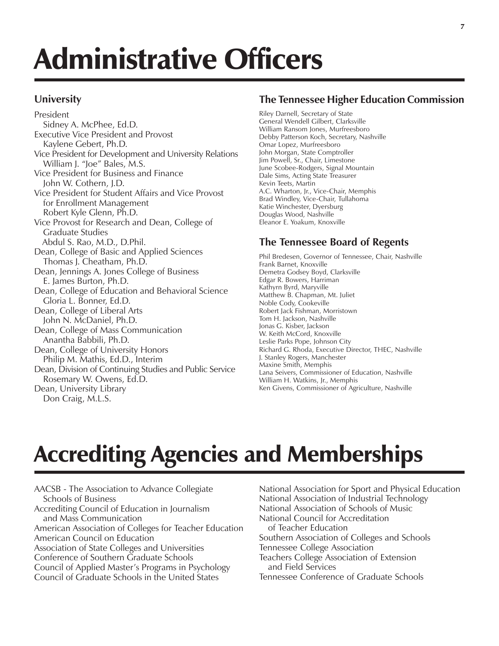## Administrative Officers

#### **University**

President Sidney A. McPhee, Ed.D. Executive Vice President and Provost Kaylene Gebert, Ph.D. Vice President for Development and University Relations William J. "Joe" Bales, M.S. Vice President for Business and Finance John W. Cothern, J.D. Vice President for Student Affairs and Vice Provost for Enrollment Management Robert Kyle Glenn, Ph.D. Vice Provost for Research and Dean, College of Graduate Studies Abdul S. Rao, M.D., D.Phil. Dean, College of Basic and Applied Sciences Thomas J. Cheatham, Ph.D. Dean, Jennings A. Jones College of Business E. James Burton, Ph.D. Dean, College of Education and Behavioral Science Gloria L. Bonner, Ed.D. Dean, College of Liberal Arts John N. McDaniel, Ph.D. Dean, College of Mass Communication Anantha Babbili, Ph.D. Dean, College of University Honors Philip M. Mathis, Ed.D., Interim Dean, Division of Continuing Studies and Public Service Rosemary W. Owens, Ed.D. Dean, University Library Don Craig, M.L.S.

### **The Tennessee Higher Education Commission**

Riley Darnell, Secretary of State General Wendell Gilbert, Clarksville William Ransom Jones, Murfreesboro Debby Patterson Koch, Secretary, Nashville Omar Lopez, Murfreesboro John Morgan, State Comptroller Jim Powell, Sr., Chair, Limestone June Scobee-Rodgers, Signal Mountain Dale Sims, Acting State Treasurer Kevin Teets, Martin A.C. Wharton, Jr., Vice-Chair, Memphis Brad Windley, Vice-Chair, Tullahoma Katie Winchester, Dyersburg Douglas Wood, Nashville Eleanor E. Yoakum, Knoxville

#### **The Tennessee Board of Regents**

Phil Bredesen, Governor of Tennessee, Chair, Nashville Frank Barnet, Knoxville Demetra Godsey Boyd, Clarksville Edgar R. Bowers, Harriman Kathyrn Byrd, Maryville Matthew B. Chapman, Mt. Juliet Noble Cody, Cookeville Robert Jack Fishman, Morristown Tom H. Jackson, Nashville Jonas G. Kisber, Jackson W. Keith McCord, Knoxville Leslie Parks Pope, Johnson City Richard G. Rhoda, Executive Director, THEC, Nashville J. Stanley Rogers, Manchester Maxine Smith, Memphis Lana Seivers, Commissioner of Education, Nashville William H. Watkins, Jr., Memphis Ken Givens, Commissioner of Agriculture, Nashville

### Accrediting Agencies and Memberships

AACSB - The Association to Advance Collegiate Schools of Business Accrediting Council of Education in Journalism and Mass Communication American Association of Colleges for Teacher Education American Council on Education Association of State Colleges and Universities Conference of Southern Graduate Schools Council of Applied Master's Programs in Psychology Council of Graduate Schools in the United States

National Association for Sport and Physical Education National Association of Industrial Technology National Association of Schools of Music National Council for Accreditation of Teacher Education Southern Association of Colleges and Schools Tennessee College Association Teachers College Association of Extension and Field Services Tennessee Conference of Graduate Schools